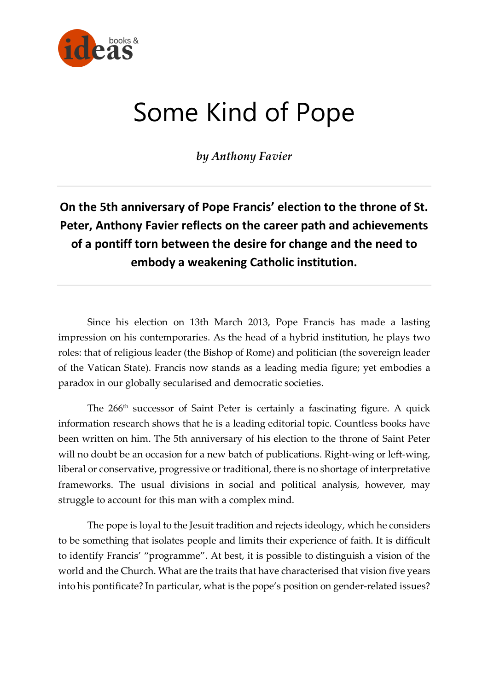

# Some Kind of Pope

*by Anthony Favier*

## **On the 5th anniversary of Pope Francis' election to the throne of St. Peter, Anthony Favier reflects on the career path and achievements of a pontiff torn between the desire for change and the need to embody a weakening Catholic institution.**

Since his election on 13th March 2013, Pope Francis has made a lasting impression on his contemporaries. As the head of a hybrid institution, he plays two roles: that of religious leader (the Bishop of Rome) and politician (the sovereign leader of the Vatican State). Francis now stands as a leading media figure; yet embodies a paradox in our globally secularised and democratic societies.

The 266th successor of Saint Peter is certainly a fascinating figure. A quick information research shows that he is a leading editorial topic. Countless books have been written on him. The 5th anniversary of his election to the throne of Saint Peter will no doubt be an occasion for a new batch of publications. Right-wing or left-wing, liberal or conservative, progressive or traditional, there is no shortage of interpretative frameworks. The usual divisions in social and political analysis, however, may struggle to account for this man with a complex mind.

The pope is loyal to the Jesuit tradition and rejects ideology, which he considers to be something that isolates people and limits their experience of faith. It is difficult to identify Francis' "programme". At best, it is possible to distinguish a vision of the world and the Church. What are the traits that have characterised that vision five years into his pontificate? In particular, what is the pope's position on gender-related issues?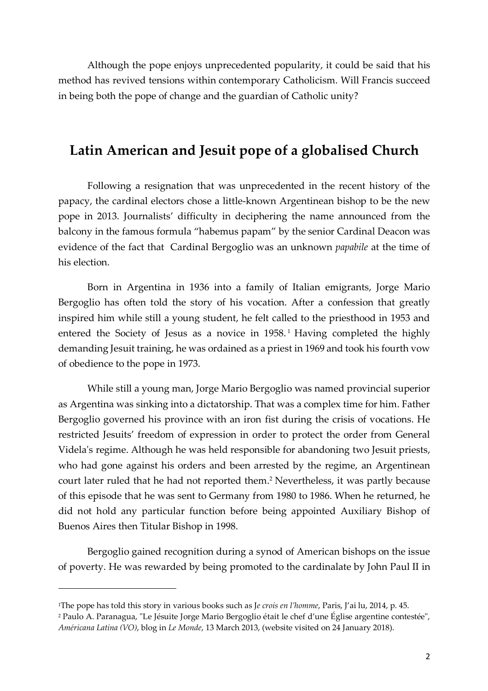Although the pope enjoys unprecedented popularity, it could be said that his method has revived tensions within contemporary Catholicism. Will Francis succeed in being both the pope of change and the guardian of Catholic unity?

#### **Latin American and Jesuit pope of a globalised Church**

Following a resignation that was unprecedented in the recent history of the papacy, the cardinal electors chose a little-known Argentinean bishop to be the new pope in 2013. Journalists' difficulty in deciphering the name announced from the balcony in the famous formula "habemus papam" by the senior Cardinal Deacon was evidence of the fact that Cardinal Bergoglio was an unknown *papabile* at the time of his election.

Born in Argentina in 1936 into a family of Italian emigrants, Jorge Mario Bergoglio has often told the story of his vocation. After a confession that greatly inspired him while still a young student, he felt called to the priesthood in 1953 and entered the Society of Jesus as a novice in 1958.<sup>1</sup> Having completed the highly demanding Jesuit training, he was ordained as a priest in 1969 and took his fourth vow of obedience to the pope in 1973.

While still a young man, Jorge Mario Bergoglio was named provincial superior as Argentina was sinking into a dictatorship. That was a complex time for him. Father Bergoglio governed his province with an iron fist during the crisis of vocations. He restricted Jesuits' freedom of expression in order to protect the order from General Videla's regime. Although he was held responsible for abandoning two Jesuit priests, who had gone against his orders and been arrested by the regime, an Argentinean court later ruled that he had not reported them.<sup>2</sup> Nevertheless, it was partly because of this episode that he was sent to Germany from 1980 to 1986. When he returned, he did not hold any particular function before being appointed Auxiliary Bishop of Buenos Aires then Titular Bishop in 1998.

Bergoglio gained recognition during a synod of American bishops on the issue of poverty. He was rewarded by being promoted to the cardinalate by John Paul II in

<sup>1</sup>The pope has told this story in various books such as J*e crois en l'homme*, Paris, J'ai lu, 2014, p. 45.

<sup>2</sup> Paulo A. Paranagua, "Le Jésuite Jorge Mario Bergoglio était le chef d'une Église argentine [contestée"](http://america-latina.blog.lemonde.fr/2013/03/13/le-jesuite-jorge-mario-bergoglio-etait-le-chef-dune-eglise-argentine-contestee/), *Américana Latina (VO)*, blog in *Le Monde*, 13 March 2013, (website visited on 24 January 2018).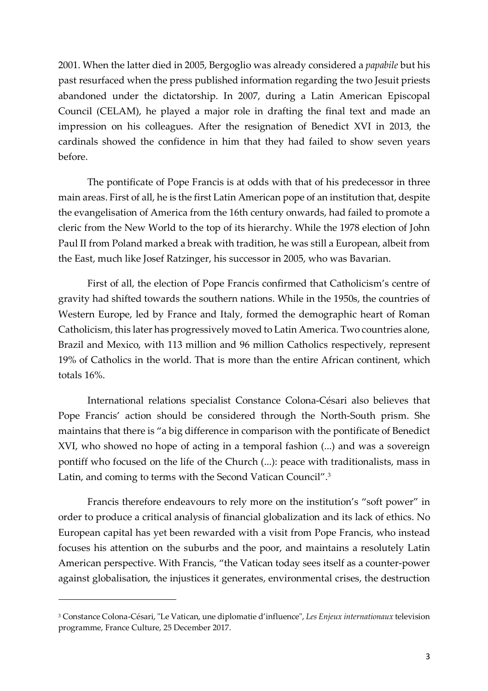2001. When the latter died in 2005, Bergoglio was already considered a *papabile* but his past resurfaced when the press published information regarding the two Jesuit priests abandoned under the dictatorship. In 2007, during a Latin American Episcopal Council (CELAM), he played a major role in drafting the final text and made an impression on his colleagues. After the resignation of Benedict XVI in 2013, the cardinals showed the confidence in him that they had failed to show seven years before.

The pontificate of Pope Francis is at odds with that of his predecessor in three main areas. First of all, he is the first Latin American pope of an institution that, despite the evangelisation of America from the 16th century onwards, had failed to promote a cleric from the New World to the top of its hierarchy. While the 1978 election of John Paul II from Poland marked a break with tradition, he was still a European, albeit from the East, much like Josef Ratzinger, his successor in 2005, who was Bavarian.

First of all, the election of Pope Francis confirmed that Catholicism's centre of gravity had shifted towards the southern nations. While in the 1950s, the countries of Western Europe, led by France and Italy, formed the demographic heart of Roman Catholicism, this later has progressively moved to Latin America. Two countries alone, Brazil and Mexico, with 113 million and 96 million Catholics respectively, represent 19% of Catholics in the world. That is more than the entire African continent, which totals 16%.

International relations specialist Constance Colona-Césari also believes that Pope Francis' action should be considered through the North-South prism. She maintains that there is "a big difference in comparison with the pontificate of Benedict XVI, who showed no hope of acting in a temporal fashion (...) and was a sovereign pontiff who focused on the life of the Church (...): peace with traditionalists, mass in Latin, and coming to terms with the Second Vatican Council".<sup>3</sup>

Francis therefore endeavours to rely more on the institution's "soft power" in order to produce a critical analysis of financial globalization and its lack of ethics. No European capital has yet been rewarded with a visit from Pope Francis, who instead focuses his attention on the suburbs and the poor, and maintains a resolutely Latin American perspective. With Francis, "the Vatican today sees itself as a counter-power against globalisation, the injustices it generates, environmental crises, the destruction

<sup>3</sup> Constance Colona-Césari, "Le Vatican, une diplomatie d'influence",*Les Enjeux internationaux* television programme, France Culture, 25 December 2017.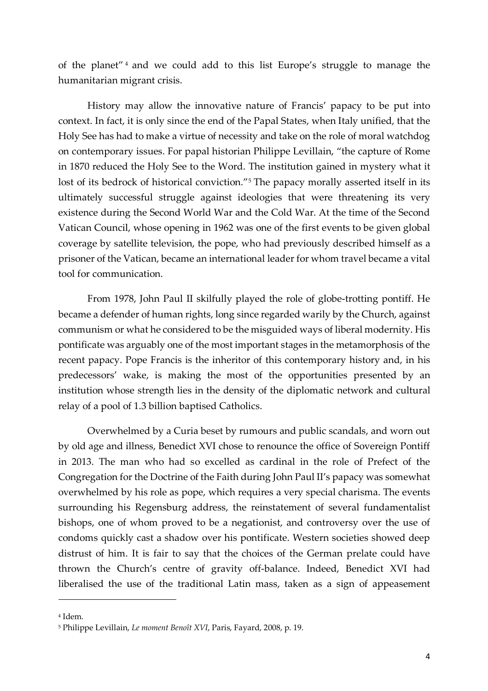of the planet" <sup>4</sup> and we could add to this list Europe's struggle to manage the humanitarian migrant crisis.

History may allow the innovative nature of Francis' papacy to be put into context. In fact, it is only since the end of the Papal States, when Italy unified, that the Holy See has had to make a virtue of necessity and take on the role of moral watchdog on contemporary issues. For papal historian Philippe Levillain, "the capture of Rome in 1870 reduced the Holy See to the Word. The institution gained in mystery what it lost of its bedrock of historical conviction."<sup>5</sup> The papacy morally asserted itself in its ultimately successful struggle against ideologies that were threatening its very existence during the Second World War and the Cold War. At the time of the Second Vatican Council, whose opening in 1962 was one of the first events to be given global coverage by satellite television, the pope, who had previously described himself as a prisoner of the Vatican, became an international leader for whom travel became a vital tool for communication.

From 1978, John Paul II skilfully played the role of globe-trotting pontiff. He became a defender of human rights, long since regarded warily by the Church, against communism or what he considered to be the misguided ways of liberal modernity. His pontificate was arguably one of the most important stages in the metamorphosis of the recent papacy. Pope Francis is the inheritor of this contemporary history and, in his predecessors' wake, is making the most of the opportunities presented by an institution whose strength lies in the density of the diplomatic network and cultural relay of a pool of 1.3 billion baptised Catholics.

Overwhelmed by a Curia beset by rumours and public scandals, and worn out by old age and illness, Benedict XVI chose to renounce the office of Sovereign Pontiff in 2013. The man who had so excelled as cardinal in the role of Prefect of the Congregation for the Doctrine of the Faith during John Paul II's papacy was somewhat overwhelmed by his role as pope, which requires a very special charisma. The events surrounding his Regensburg address, the reinstatement of several fundamentalist bishops, one of whom proved to be a negationist, and controversy over the use of condoms quickly cast a shadow over his pontificate. Western societies showed deep distrust of him. It is fair to say that the choices of the German prelate could have thrown the Church's centre of gravity off-balance. Indeed, Benedict XVI had liberalised the use of the traditional Latin mass, taken as a sign of appeasement

<sup>4</sup> Idem.

<sup>5</sup> Philippe Levillain, *Le moment Benoît XVI*, Paris, Fayard, 2008, p. 19.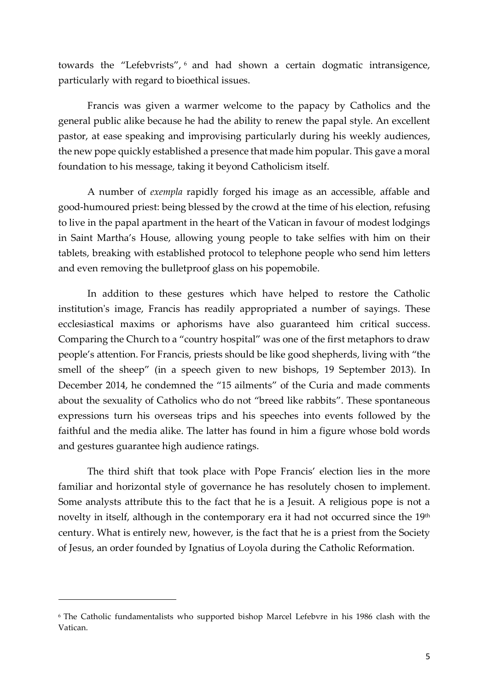towards the "Lefebvrists", <sup>6</sup> and had shown a certain dogmatic intransigence, particularly with regard to bioethical issues.

Francis was given a warmer welcome to the papacy by Catholics and the general public alike because he had the ability to renew the papal style. An excellent pastor, at ease speaking and improvising particularly during his weekly audiences, the new pope quickly established a presence that made him popular. This gave a moral foundation to his message, taking it beyond Catholicism itself.

A number of *exempla* rapidly forged his image as an accessible, affable and good-humoured priest: being blessed by the crowd at the time of his election, refusing to live in the papal apartment in the heart of the Vatican in favour of modest lodgings in Saint Martha's House, allowing young people to take selfies with him on their tablets, breaking with established protocol to telephone people who send him letters and even removing the bulletproof glass on his popemobile.

In addition to these gestures which have helped to restore the Catholic institution's image, Francis has readily appropriated a number of sayings. These ecclesiastical maxims or aphorisms have also guaranteed him critical success. Comparing the Church to a "country hospital" was one of the first metaphors to draw people's attention. For Francis, priests should be like good shepherds, living with "the smell of the sheep" (in a speech given to new bishops, 19 September 2013). In December 2014, he condemned the "15 ailments" of the Curia and made comments about the sexuality of Catholics who do not "breed like rabbits". These spontaneous expressions turn his overseas trips and his speeches into events followed by the faithful and the media alike. The latter has found in him a figure whose bold words and gestures guarantee high audience ratings.

The third shift that took place with Pope Francis' election lies in the more familiar and horizontal style of governance he has resolutely chosen to implement. Some analysts attribute this to the fact that he is a Jesuit. A religious pope is not a novelty in itself, although in the contemporary era it had not occurred since the 19<sup>th</sup> century. What is entirely new, however, is the fact that he is a priest from the Society of Jesus, an order founded by Ignatius of Loyola during the Catholic Reformation.

<sup>6</sup> The Catholic fundamentalists who supported bishop Marcel Lefebvre in his 1986 clash with the Vatican.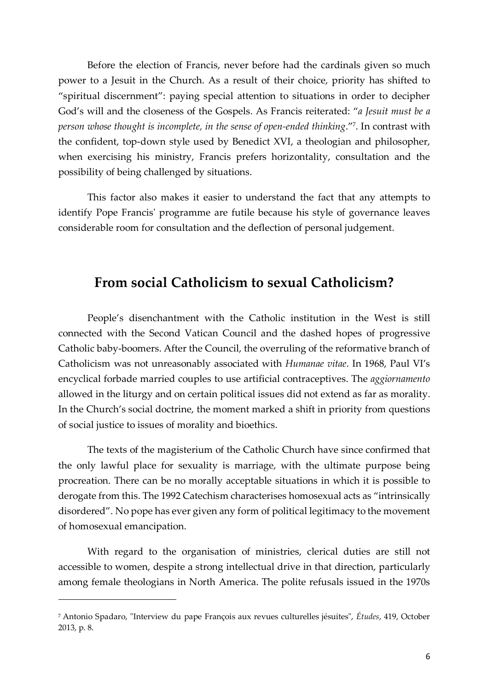Before the election of Francis, never before had the cardinals given so much power to a Jesuit in the Church. As a result of their choice, priority has shifted to "spiritual discernment": paying special attention to situations in order to decipher God's will and the closeness of the Gospels. As Francis reiterated: "*a Jesuit must be a person whose thought is incomplete, in the sense of open-ended thinking*."<sup>7</sup> . In contrast with the confident, top-down style used by Benedict XVI, a theologian and philosopher, when exercising his ministry, Francis prefers horizontality, consultation and the possibility of being challenged by situations.

This factor also makes it easier to understand the fact that any attempts to identify Pope Francis' programme are futile because his style of governance leaves considerable room for consultation and the deflection of personal judgement.

#### **From social Catholicism to sexual Catholicism?**

People's disenchantment with the Catholic institution in the West is still connected with the Second Vatican Council and the dashed hopes of progressive Catholic baby-boomers. After the Council, the overruling of the reformative branch of Catholicism was not unreasonably associated with *Humanae vitae*. In 1968, Paul VI's encyclical forbade married couples to use artificial contraceptives. The *aggiornamento* allowed in the liturgy and on certain political issues did not extend as far as morality. In the Church's social doctrine, the moment marked a shift in priority from questions of social justice to issues of morality and bioethics.

The texts of the magisterium of the Catholic Church have since confirmed that the only lawful place for sexuality is marriage, with the ultimate purpose being procreation. There can be no morally acceptable situations in which it is possible to derogate from this. The 1992 Catechism characterises homosexual acts as "intrinsically disordered". No pope has ever given any form of political legitimacy to the movement of homosexual emancipation.

With regard to the organisation of ministries, clerical duties are still not accessible to women, despite a strong intellectual drive in that direction, particularly among female theologians in North America. The polite refusals issued in the 1970s

<sup>7</sup> Antonio Spadaro, "Interview du pape François aux revues culturelles jésuites", *Études*, 419, October 2013, p. 8.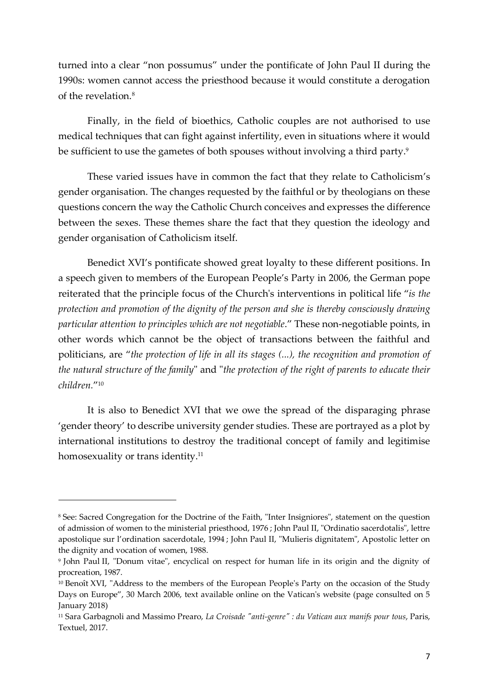turned into a clear "non possumus" under the pontificate of John Paul II during the 1990s: women cannot access the priesthood because it would constitute a derogation of the revelation.<sup>8</sup>

Finally, in the field of bioethics, Catholic couples are not authorised to use medical techniques that can fight against infertility, even in situations where it would be sufficient to use the gametes of both spouses without involving a third party.<sup>9</sup>

These varied issues have in common the fact that they relate to Catholicism's gender organisation. The changes requested by the faithful or by theologians on these questions concern the way the Catholic Church conceives and expresses the difference between the sexes. These themes share the fact that they question the ideology and gender organisation of Catholicism itself.

Benedict XVI's pontificate showed great loyalty to these different positions. In a speech given to members of the European People's Party in 2006, the German pope reiterated that the principle focus of the Church's interventions in political life "*is the protection and promotion of the dignity of the person and she is thereby consciously drawing particular attention to principles which are not negotiable*." These non-negotiable points, in other words which cannot be the object of transactions between the faithful and politicians, are "*the protection of life in all its stages (...), the recognition and promotion of the natural structure of the family*" and "*the protection of the right of parents to educate their children.*" 10

It is also to Benedict XVI that we owe the spread of the disparaging phrase 'gender theory' to describe university gender studies. These are portrayed as a plot by international institutions to destroy the traditional concept of family and legitimise homosexuality or trans identity.<sup>11</sup>

<sup>8</sup> See: Sacred Congregation for the Doctrine of the Faith, "Inter Insigniores", statement on the question of admission of women to the ministerial priesthood, 1976 ; John Paul II, "Ordinatio sacerdotalis", lettre apostolique sur l'ordination sacerdotale, 1994 ; John Paul II, "Mulieris dignitatem", Apostolic letter on the dignity and vocation of women, 1988.

<sup>9</sup> John Paul II, "Donum vitae", encyclical on respect for human life in its origin and the dignity of procreation, 1987.

<sup>&</sup>lt;sup>10</sup> Benoît XVI, "Address to the members of the European People's Party on the occasion of the Study Days on Europe", 30 March 2006, text available online on the [Vatican's](http://w2.vatican.va/content/benedict-xvi/en/speeches/2006/march/documents/hf_ben-xvi_spe_20060330_eu-parliamentarians.html) website (page consulted on 5 January 2018)

<sup>11</sup> Sara Garbagnoli and Massimo Prearo, *La Croisade "anti-genre" : du Vatican aux manifs pour tous*, Paris, Textuel, 2017.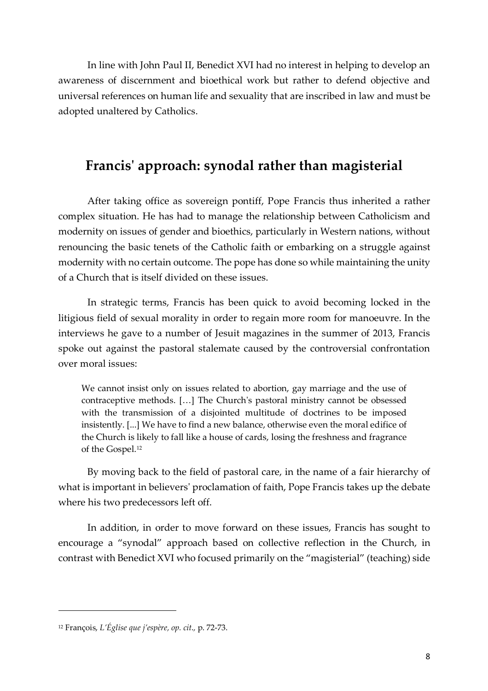In line with John Paul II, Benedict XVI had no interest in helping to develop an awareness of discernment and bioethical work but rather to defend objective and universal references on human life and sexuality that are inscribed in law and must be adopted unaltered by Catholics.

### **Francis' approach: synodal rather than magisterial**

After taking office as sovereign pontiff, Pope Francis thus inherited a rather complex situation. He has had to manage the relationship between Catholicism and modernity on issues of gender and bioethics, particularly in Western nations, without renouncing the basic tenets of the Catholic faith or embarking on a struggle against modernity with no certain outcome. The pope has done so while maintaining the unity of a Church that is itself divided on these issues.

In strategic terms, Francis has been quick to avoid becoming locked in the litigious field of sexual morality in order to regain more room for manoeuvre. In the interviews he gave to a number of Jesuit magazines in the summer of 2013, Francis spoke out against the pastoral stalemate caused by the controversial confrontation over moral issues:

We cannot insist only on issues related to abortion, gay marriage and the use of contraceptive methods. […] The Church's pastoral ministry cannot be obsessed with the transmission of a disjointed multitude of doctrines to be imposed insistently. [...] We have to find a new balance, otherwise even the moral edifice of the Church is likely to fall like a house of cards, losing the freshness and fragrance of the Gospel.<sup>12</sup>

By moving back to the field of pastoral care, in the name of a fair hierarchy of what is important in believers' proclamation of faith, Pope Francis takes up the debate where his two predecessors left off.

In addition, in order to move forward on these issues, Francis has sought to encourage a "synodal" approach based on collective reflection in the Church, in contrast with Benedict XVI who focused primarily on the "magisterial" (teaching) side

<sup>12</sup> François, *L'Église que j'espère, op. cit*.*,* p. 72-73.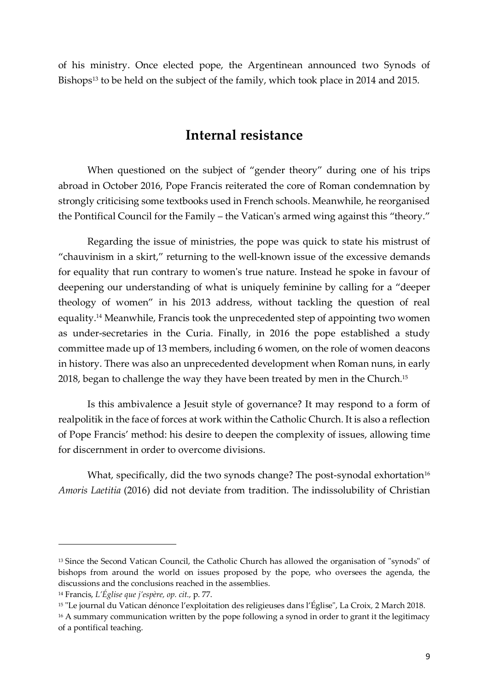of his ministry. Once elected pope, the Argentinean announced two Synods of Bishops<sup>13</sup> to be held on the subject of the family, which took place in 2014 and 2015.

#### **Internal resistance**

When questioned on the subject of "gender theory" during one of his trips abroad in October 2016, Pope Francis reiterated the core of Roman condemnation by strongly criticising some textbooks used in French schools. Meanwhile, he reorganised the Pontifical Council for the Family – the Vatican's armed wing against this "theory."

Regarding the issue of ministries, the pope was quick to state his mistrust of "chauvinism in a skirt," returning to the well-known issue of the excessive demands for equality that run contrary to women's true nature. Instead he spoke in favour of deepening our understanding of what is uniquely feminine by calling for a "deeper theology of women" in his 2013 address, without tackling the question of real equality.<sup>14</sup> Meanwhile, Francis took the unprecedented step of appointing two women as under-secretaries in the Curia. Finally, in 2016 the pope established a study committee made up of 13 members, including 6 women, on the role of women deacons in history. There was also an unprecedented development when Roman nuns, in early 2018, began to challenge the way they have been treated by men in the Church.<sup>15</sup>

Is this ambivalence a Jesuit style of governance? It may respond to a form of realpolitik in the face of forces at work within the Catholic Church. It is also a reflection of Pope Francis' method: his desire to deepen the complexity of issues, allowing time for discernment in order to overcome divisions.

What, specifically, did the two synods change? The post-synodal exhortation<sup>16</sup> *Amoris Laetitia* (2016) did not deviate from tradition. The indissolubility of Christian

<sup>13</sup> Since the Second Vatican Council, the Catholic Church has allowed the organisation of "synods" of bishops from around the world on issues proposed by the pope, who oversees the agenda, the discussions and the conclusions reached in the assemblies.

<sup>14</sup> Francis, *L'Église que j'espère, op. cit.,* p. 77.

<sup>15</sup> "Le journal du Vatican dénonce l'exploitation des religieuses dans l'Église", La [Croix](https://www.la-croix.com/Religion/Catholicisme/Monde/Le-journal-Vatican-denonce-lexploitation-religieuses-lEglise-2018-03-02-1200917743)*,* 2 March 2018.

<sup>&</sup>lt;sup>16</sup> A summary communication written by the pope following a synod in order to grant it the legitimacy of a pontifical teaching.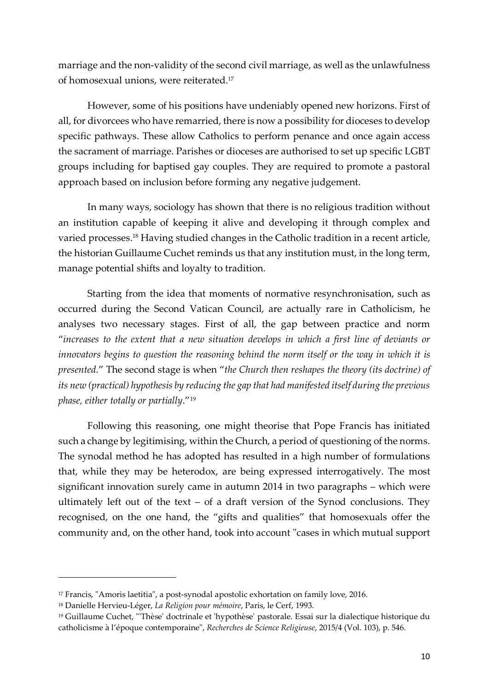marriage and the non-validity of the second civil marriage, as well as the unlawfulness of homosexual unions, were reiterated.<sup>17</sup>

However, some of his positions have undeniably opened new horizons. First of all, for divorcees who have remarried, there is now a possibility for dioceses to develop specific pathways. These allow Catholics to perform penance and once again access the sacrament of marriage. Parishes or dioceses are authorised to set up specific LGBT groups including for baptised gay couples. They are required to promote a pastoral approach based on inclusion before forming any negative judgement.

In many ways, sociology has shown that there is no religious tradition without an institution capable of keeping it alive and developing it through complex and varied processes.<sup>18</sup> Having studied changes in the Catholic tradition in a recent article, the historian Guillaume Cuchet reminds us that any institution must, in the long term, manage potential shifts and loyalty to tradition.

Starting from the idea that moments of normative resynchronisation, such as occurred during the Second Vatican Council, are actually rare in Catholicism, he analyses two necessary stages. First of all, the gap between practice and norm "*increases to the extent that a new situation develops in which a first line of deviants or innovators begins to question the reasoning behind the norm itself or the way in which it is presented.*" The second stage is when "*the Church then reshapes the theory (its doctrine) of its new (practical) hypothesis by reducing the gap that had manifested itself during the previous phase, either totally or partially*."<sup>19</sup>

Following this reasoning, one might theorise that Pope Francis has initiated such a change by legitimising, within the Church, a period of questioning of the norms. The synodal method he has adopted has resulted in a high number of formulations that, while they may be heterodox, are being expressed interrogatively. The most significant innovation surely came in autumn 2014 in two paragraphs – which were ultimately left out of the text – of a draft version of the Synod conclusions. They recognised, on the one hand, the "gifts and qualities" that homosexuals offer the community and, on the other hand, took into account "cases in which mutual support

<sup>&</sup>lt;sup>17</sup> Francis, "Amoris laetitia", a post-synodal apostolic exhortation on family love, 2016.

<sup>18</sup> Danielle Hervieu-Léger, *La Religion pour mémoire*, Paris, le Cerf, 1993.

<sup>19</sup> Guillaume Cuchet, "'Thèse' doctrinale et 'hypothèse' pastorale. Essai sur la dialectique historique du catholicisme à l'époque contemporaine", *Recherches de Science Religieuse*, 2015/4 (Vol. 103), p. 546.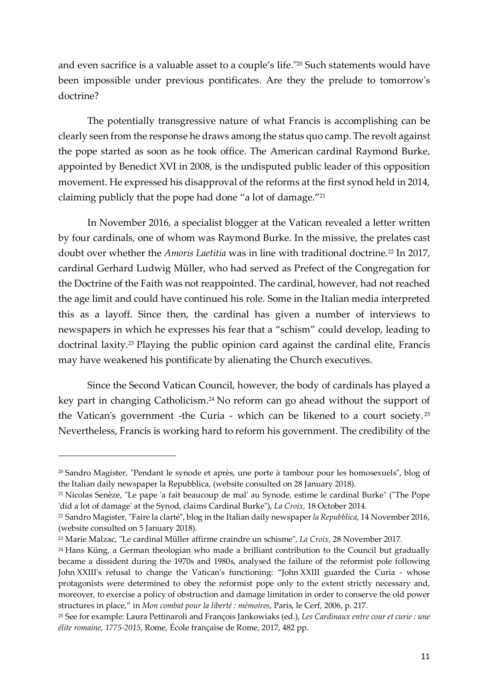and even sacrifice is a valuable asset to a couple's life."<sup>20</sup> Such statements would have been impossible under previous pontificates. Are they the prelude to tomorrow's doctrine?

The potentially transgressive nature of what Francis is accomplishing can be clearly seen from the response he draws among the status quo camp. The revolt against the pope started as soon as he took office. The American cardinal Raymond Burke, appointed by Benedict XVI in 2008, is the undisputed public leader of this opposition movement. He expressed his disapproval of the reforms at the first synod held in 2014, claiming publicly that the pope had done "a lot of damage."<sup>21</sup>

In November 2016, a specialist blogger at the Vatican revealed a letter written by four cardinals, one of whom was Raymond Burke. In the missive, the prelates cast doubt over whether the *Amoris Laetitia* was in line with traditional doctrine.<sup>22</sup> In 2017, cardinal Gerhard Ludwig Müller, who had served as Prefect of the Congregation for the Doctrine of the Faith was not reappointed. The cardinal, however, had not reached the age limit and could have continued his role. Some in the Italian media interpreted this as a layoff. Since then, the cardinal has given a number of interviews to newspapers in which he expresses his fear that a "schism" could develop, leading to doctrinal laxity.<sup>23</sup> Playing the public opinion card against the cardinal elite, Francis may have weakened his pontificate by alienating the Church executives.

Since the Second Vatican Council, however, the body of cardinals has played a key part in changing Catholicism.<sup>24</sup> No reform can go ahead without the support of the Vatican's government -the Curia - which can be likened to a court society. <sup>25</sup> Nevertheless, Francis is working hard to reform his government. The credibility of the

<sup>20</sup> Sandro Magister, "Pendant le synode et après, une porte à tambour pour les homosexuels", blog of the Italian daily newspaper la [Repubblica,](http://chiesa.espresso.repubblica.it/articolo/135090775af.html?fr=y) (website consulted on 28 January 2018).

<sup>21</sup> Nicolas Senèze, "Le pape 'a fait beaucoup de mal' au Synode, estime le cardinal Burke" ("The Pope 'did a lot of damage' at the Synod, claims Cardinal Burke"), *La Croix,* 18 October 2014.

<sup>22</sup> Sandro Magister, "Faire la clarté", blog in the Italian daily newspaper *la [Repubblica](http://chiesa.espresso.repubblica.it/articolo/135141475af.html?fr=y&refresh_ce)*, 14 November 2016, (website consulted on 5 January 2018).

<sup>23</sup> Marie Malzac, "Le cardinal Müller affirme craindre un schisme", *La Croix*, 28 November 2017.

 $24$  Hans Küng, a German theologian who made a brilliant contribution to the Council but gradually became a dissident during the 1970s and 1980s, analysed the failure of the reformist pole following John XXIII's refusal to change the Vatican's functioning: "John XXIII guarded the Curia - whose protagonists were determined to obey the reformist pope only to the extent strictly necessary and, moreover, to exercise a policy of obstruction and damage limitation in order to conserve the old power structures in place," in *Mon combat pour la liberté : mémoires*, Paris, le Cerf, 2006, p. 217.

<sup>25</sup> See for example: Laura Pettinaroli and François Jankowiaks (ed.), *Les Cardinaux entre cour et curie : une élite romaine, 1775-2015*, Rome, École française de Rome, 2017, 482 pp.